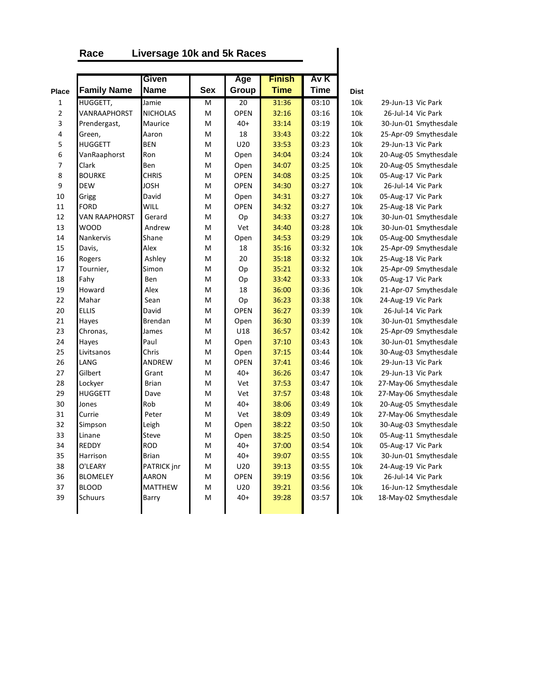## **Race Liversage 10k and 5k Races**

|                |                      | Given           |            | Age         | <b>Finish</b> | Av K        |             |                       |
|----------------|----------------------|-----------------|------------|-------------|---------------|-------------|-------------|-----------------------|
| <b>Place</b>   | <b>Family Name</b>   | <b>Name</b>     | <b>Sex</b> | Group       | <b>Time</b>   | <b>Time</b> | <b>Dist</b> |                       |
| $\mathbf{1}$   | HUGGETT,             | Jamie           | M          | 20          | 31:36         | 03:10       | 10k         | 29-Jun-13 Vic Park    |
| $\overline{2}$ | VANRAAPHORST         | <b>NICHOLAS</b> | M          | <b>OPEN</b> | 32:16         | 03:16       | 10k         | 26-Jul-14 Vic Park    |
| 3              | Prendergast,         | Maurice         | M          | $40+$       | 33:14         | 03:19       | 10k         | 30-Jun-01 Smythesdale |
| 4              | Green,               | Aaron           | M          | 18          | 33:43         | 03:22       | 10k         | 25-Apr-09 Smythesdale |
| 5              | <b>HUGGETT</b>       | <b>BEN</b>      | M          | U20         | 33:53         | 03:23       | 10k         | 29-Jun-13 Vic Park    |
| 6              | VanRaaphorst         | Ron             | M          | Open        | 34:04         | 03:24       | 10k         | 20-Aug-05 Smythesdale |
| 7              | Clark                | Ben             | M          | Open        | 34:07         | 03:25       | 10k         | 20-Aug-05 Smythesdale |
| 8              | <b>BOURKE</b>        | <b>CHRIS</b>    | M          | <b>OPEN</b> | 34:08         | 03:25       | 10k         | 05-Aug-17 Vic Park    |
| 9              | DEW                  | JOSH            | M          | <b>OPEN</b> | 34:30         | 03:27       | 10k         | 26-Jul-14 Vic Park    |
| 10             | Grigg                | David           | M          | Open        | 34:31         | 03:27       | 10k         | 05-Aug-17 Vic Park    |
| 11             | <b>FORD</b>          | <b>WILL</b>     | M          | <b>OPEN</b> | 34:32         | 03:27       | 10k         | 25-Aug-18 Vic Park    |
| 12             | <b>VAN RAAPHORST</b> | Gerard          | M          | Op          | 34:33         | 03:27       | 10k         | 30-Jun-01 Smythesdale |
| 13             | <b>WOOD</b>          | Andrew          | M          | Vet         | 34:40         | 03:28       | 10k         | 30-Jun-01 Smythesdale |
| 14             | Nankervis            | Shane           | M          | Open        | 34:53         | 03:29       | 10k         | 05-Aug-00 Smythesdale |
| 15             | Davis,               | Alex            | M          | 18          | 35:16         | 03:32       | 10k         | 25-Apr-09 Smythesdale |
| 16             | Rogers               | Ashley          | M          | 20          | 35:18         | 03:32       | 10k         | 25-Aug-18 Vic Park    |
| 17             | Tournier,            | Simon           | M          | Op          | 35:21         | 03:32       | 10k         | 25-Apr-09 Smythesdale |
| 18             | Fahy                 | Ben             | M          | Op          | 33:42         | 03:33       | 10k         | 05-Aug-17 Vic Park    |
| 19             | Howard               | Alex            | M          | 18          | 36:00         | 03:36       | 10k         | 21-Apr-07 Smythesdale |
| 22             | Mahar                | Sean            | M          | Op          | 36:23         | 03:38       | 10k         | 24-Aug-19 Vic Park    |
| 20             | <b>ELLIS</b>         | David           | M          | OPEN        | 36:27         | 03:39       | 10k         | 26-Jul-14 Vic Park    |
| 21             | Hayes                | <b>Brendan</b>  | M          | Open        | 36:30         | 03:39       | 10k         | 30-Jun-01 Smythesdale |
| 23             | Chronas,             | James           | M          | U18         | 36:57         | 03:42       | 10k         | 25-Apr-09 Smythesdale |
| 24             | Hayes                | Paul            | M          | Open        | 37:10         | 03:43       | 10k         | 30-Jun-01 Smythesdale |
| 25             | Livitsanos           | Chris           | M          | Open        | 37:15         | 03:44       | 10k         | 30-Aug-03 Smythesdale |
| 26             | LANG                 | ANDREW          | M          | <b>OPEN</b> | 37:41         | 03:46       | 10k         | 29-Jun-13 Vic Park    |
| 27             | Gilbert              | Grant           | M          | $40+$       | 36:26         | 03:47       | 10k         | 29-Jun-13 Vic Park    |
| 28             | Lockyer              | <b>Brian</b>    | M          | Vet         | 37:53         | 03:47       | 10k         | 27-May-06 Smythesdale |
| 29             | <b>HUGGETT</b>       | Dave            | M          | Vet         | 37:57         | 03:48       | 10k         | 27-May-06 Smythesdale |
| 30             | Jones                | Rob             | M          | $40+$       | 38:06         | 03:49       | 10k         | 20-Aug-05 Smythesdale |
| 31             | Currie               | Peter           | M          | Vet         | 38:09         | 03:49       | 10k         | 27-May-06 Smythesdale |
| 32             | Simpson              | Leigh           | M          | Open        | 38:22         | 03:50       | 10k         | 30-Aug-03 Smythesdale |
| 33             | Linane               | Steve           | M          | Open        | 38:25         | 03:50       | 10k         | 05-Aug-11 Smythesdale |
| 34             | <b>REDDY</b>         | <b>ROD</b>      | M          | $40+$       | 37:00         | 03:54       | 10k         | 05-Aug-17 Vic Park    |
| 35             | Harrison             | <b>Brian</b>    | M          | $40+$       | 39:07         | 03:55       | 10k         | 30-Jun-01 Smythesdale |
| 38             | O'LEARY              | PATRICK jnr     | M          | U20         | 39:13         | 03:55       | 10k         | 24-Aug-19 Vic Park    |
| 36             | <b>BLOMELEY</b>      | <b>AARON</b>    | M          | <b>OPEN</b> | 39:19         | 03:56       | 10k         | 26-Jul-14 Vic Park    |
| 37             | <b>BLOOD</b>         | <b>MATTHEW</b>  | M          | U20         | 39:21         | 03:56       | 10k         | 16-Jun-12 Smythesdale |
| 39             | Schuurs              | Barry           | M          | $40+$       | 39:28         | 03:57       | 10k         | 18-May-02 Smythesdale |
|                |                      |                 |            |             |               |             |             |                       |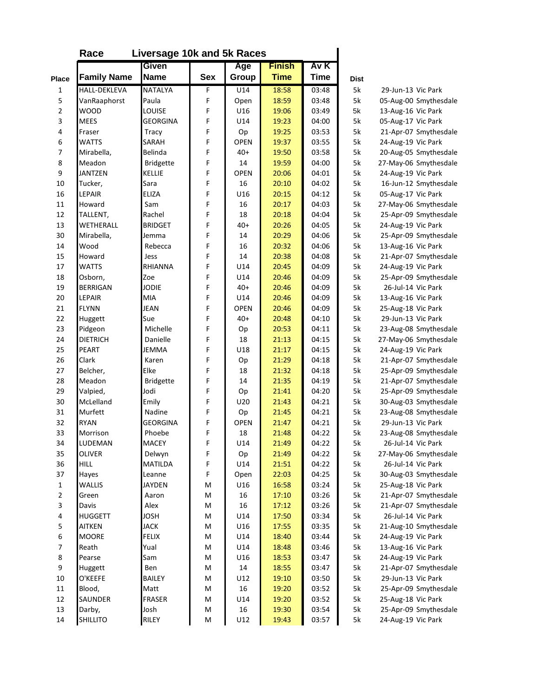|                | Race                | Liversage 10k and 5k Races |            |             |               |             |             |                       |
|----------------|---------------------|----------------------------|------------|-------------|---------------|-------------|-------------|-----------------------|
|                |                     | Given                      |            | Age         | <b>Finish</b> | Av K        |             |                       |
| Place          | <b>Family Name</b>  | <b>Name</b>                | <b>Sex</b> | Group       | <b>Time</b>   | <b>Time</b> | <b>Dist</b> |                       |
| 1              | <b>HALL-DEKLEVA</b> | <b>NATALYA</b>             | F          | U14         | 18:58         | 03:48       | 5k          | 29-Jun-13 Vic Park    |
| 5              | VanRaaphorst        | Paula                      | F          | Open        | 18:59         | 03:48       | 5k          | 05-Aug-00 Smythesdale |
| $\overline{2}$ | <b>WOOD</b>         | LOUISE                     | F          | U16         | 19:06         | 03:49       | 5k          | 13-Aug-16 Vic Park    |
| 3              | <b>MEES</b>         | <b>GEORGINA</b>            | F          | U14         | 19:23         | 04:00       | 5k          | 05-Aug-17 Vic Park    |
| 4              | Fraser              | Tracy                      | F          | Op          | 19:25         | 03:53       | 5k          | 21-Apr-07 Smythesdale |
| 6              | <b>WATTS</b>        | SARAH                      | F          | <b>OPEN</b> | 19:37         | 03:55       | 5k          | 24-Aug-19 Vic Park    |
| $\overline{7}$ | Mirabella,          | Belinda                    | F          | $40+$       | 19:50         | 03:58       | 5k          | 20-Aug-05 Smythesdale |
| 8              | Meadon              | <b>Bridgette</b>           | F          | 14          | 19:59         | 04:00       | 5k          | 27-May-06 Smythesdale |
| 9              | <b>JANTZEN</b>      | <b>KELLIE</b>              | F          | <b>OPEN</b> | 20:06         | 04:01       | 5k          | 24-Aug-19 Vic Park    |
| 10             | Tucker,             | Sara                       | F          | 16          | 20:10         | 04:02       | 5k          | 16-Jun-12 Smythesdale |
| 16             | LEPAIR              | <b>ELIZA</b>               | F          | U16         | 20:15         | 04:12       | 5k          | 05-Aug-17 Vic Park    |
| 11             | Howard              | Sam                        | F          | 16          | 20:17         | 04:03       | 5k          | 27-May-06 Smythesdale |
| 12             | TALLENT,            | Rachel                     | F          | 18          | 20:18         | 04:04       | 5k          | 25-Apr-09 Smythesdale |
| 13             | WETHERALL           | <b>BRIDGET</b>             | F          | $40+$       | 20:26         | 04:05       | 5k          | 24-Aug-19 Vic Park    |
| 30             | Mirabella,          | Jemma                      | F          | 14          | 20:29         | 04:06       | 5k          | 25-Apr-09 Smythesdale |
| 14             | Wood                | Rebecca                    | F          | 16          | 20:32         | 04:06       | 5k          | 13-Aug-16 Vic Park    |
| 15             | Howard              | Jess                       | F          | 14          | 20:38         | 04:08       | 5k          | 21-Apr-07 Smythesdale |
| 17             | <b>WATTS</b>        | RHIANNA                    | F          | U14         | 20:45         | 04:09       | 5k          | 24-Aug-19 Vic Park    |
| 18             | Osborn,             | Zoe                        | F          | U14         | 20:46         | 04:09       | 5k          | 25-Apr-09 Smythesdale |
| 19             | <b>BERRIGAN</b>     | <b>JODIE</b>               | F          | $40+$       | 20:46         | 04:09       | 5k          | 26-Jul-14 Vic Park    |
| 20             | LEPAIR              | <b>MIA</b>                 | F          | U14         | 20:46         | 04:09       | 5k          | 13-Aug-16 Vic Park    |
| 21             | <b>FLYNN</b>        | JEAN                       | F          | <b>OPEN</b> | 20:46         | 04:09       | 5k          | 25-Aug-18 Vic Park    |
| 22             | Huggett             | Sue                        | F          | $40+$       | 20:48         | 04:10       | 5k          | 29-Jun-13 Vic Park    |
| 23             | Pidgeon             | Michelle                   | F          | Op          | 20:53         | 04:11       | 5k          | 23-Aug-08 Smythesdale |
| 24             | <b>DIETRICH</b>     | Danielle                   | F          | 18          | 21:13         | 04:15       | 5k          | 27-May-06 Smythesdale |
| 25             | <b>PEART</b>        | JEMMA                      | F          | U18         | 21:17         | 04:15       | 5k          | 24-Aug-19 Vic Park    |
| 26             | Clark               | Karen                      | F          | Op          | 21:29         | 04:18       | 5k          | 21-Apr-07 Smythesdale |
| 27             | Belcher,            | Elke                       | F          | 18          | 21:32         | 04:18       | 5k          | 25-Apr-09 Smythesdale |
| 28             | Meadon              | <b>Bridgette</b>           | F          | 14          | 21:35         | 04:19       | 5k          | 21-Apr-07 Smythesdale |
| 29             | Valpied,            | Jodi                       | F          | Op          | 21:41         | 04:20       | 5k          | 25-Apr-09 Smythesdale |
| 30             | McLelland           | Emily                      | F          | U20         | 21:43         | 04:21       | 5k          | 30-Aug-03 Smythesdale |
| 31             | Murfett             | Nadine                     | F          | Op          | 21:45         | 04:21       | 5k          | 23-Aug-08 Smythesdale |
| 32             | <b>RYAN</b>         | <b>GEORGINA</b>            | F          | <b>OPEN</b> | 21:47         | 04:21       | 5k          | 29-Jun-13 Vic Park    |
| 33             | Morrison            | Phoebe                     | F          | 18          | 21:48         | 04:22       | 5k          | 23-Aug-08 Smythesdale |
| 34             | LUDEMAN             | <b>MACEY</b>               | F          | U14         | 21:49         | 04:22       | 5k          | 26-Jul-14 Vic Park    |
| 35             | <b>OLIVER</b>       | Delwyn                     | F          | Op          | 21:49         | 04:22       | 5k          | 27-May-06 Smythesdale |
| 36             | <b>HILL</b>         | MATILDA                    | F          | U14         | 21:51         | 04:22       | 5k          | 26-Jul-14 Vic Park    |
| 37             | Hayes               | Leanne                     | F          | Open        | 22:03         | 04:25       | 5k          | 30-Aug-03 Smythesdale |
| $\mathbf{1}$   | <b>WALLIS</b>       | <b>JAYDEN</b>              | М          | U16         | 16:58         | 03:24       | 5k          | 25-Aug-18 Vic Park    |
| $\overline{2}$ | Green               | Aaron                      | М          | 16          | 17:10         | 03:26       | 5k          | 21-Apr-07 Smythesdale |
| 3              | Davis               | Alex                       | М          | 16          | 17:12         | 03:26       | 5k          | 21-Apr-07 Smythesdale |
| 4              | <b>HUGGETT</b>      | JOSH                       | М          | U14         | 17:50         | 03:34       | 5k          | 26-Jul-14 Vic Park    |
| 5              | <b>AITKEN</b>       | JACK                       | М          | U16         | 17:55         | 03:35       | 5k          | 21-Aug-10 Smythesdale |
| 6              | <b>MOORE</b>        | <b>FELIX</b>               | М          | U14         | 18:40         | 03:44       | 5k          | 24-Aug-19 Vic Park    |
| $\overline{7}$ | Reath               | Yual                       | M          | U14         | 18:48         | 03:46       | 5k          | 13-Aug-16 Vic Park    |
| 8              | Pearse              | Sam                        | M          | U16         | 18:53         | 03:47       | 5k          | 24-Aug-19 Vic Park    |
| 9              | Huggett             | Ben                        | M          | 14          | 18:55         | 03:47       | 5k          | 21-Apr-07 Smythesdale |
| 10             | O'KEEFE             | BAILEY                     | M          | U12         | 19:10         | 03:50       | 5k          | 29-Jun-13 Vic Park    |
| 11             | Blood,              | Matt                       | M          | 16          | 19:20         | 03:52       | 5k          | 25-Apr-09 Smythesdale |
| 12             | SAUNDER             | <b>FRASER</b>              | M          | U14         | 19:20         | 03:52       | 5k          | 25-Aug-18 Vic Park    |
| 13             | Darby,              | Josh                       | M          | 16          | 19:30         | 03:54       | 5k          | 25-Apr-09 Smythesdale |
| 14             | <b>SHILLITO</b>     | RILEY                      | M          | U12         | 19:43         | 03:57       | 5k          | 24-Aug-19 Vic Park    |